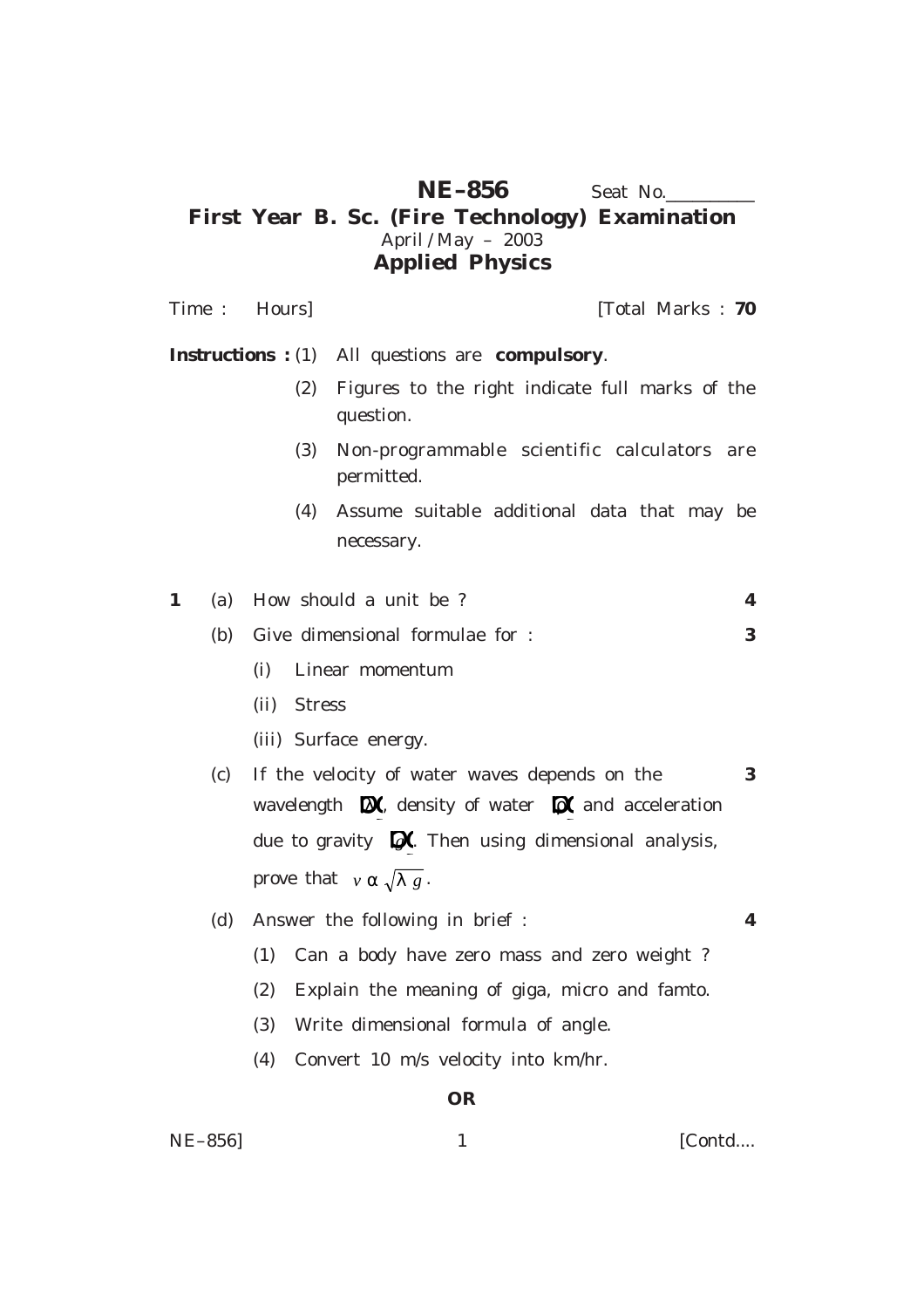## **NE–856** Seat No. **First Year B. Sc. (Fire Technology) Examination** April / May – 2003 **Applied Physics**

Time : **Hours [Total Marks : 70**] **Instructions :** (1) All questions are **compulsory**. (2) Figures to the right indicate full marks of the question. (3) Non-programmable scientific calculators are permitted. (4) Assume suitable additional data that may be necessary. **1** (a) How should a unit be ? **4** (b) Give dimensional formulae for : **3** (i) Linear momentum (ii) Stress (iii) Surface energy. (c) If the velocity of water waves depends on the **3** wavelength  $\mathbf{\Omega}$ , density of water  $\mathbf{\Omega}$  and acceleration due to gravity  $\mathbb{D}$ . Then using dimensional analysis, prove that  $v \alpha \sqrt{\lambda g}$ . (d) Answer the following in brief : **4** (1) Can a body have zero mass and zero weight ? (2) Explain the meaning of giga, micro and famto. (3) Write dimensional formula of angle. (4) Convert 10 m/s velocity into km/hr. **OR**

NE–856] 1 [Contd....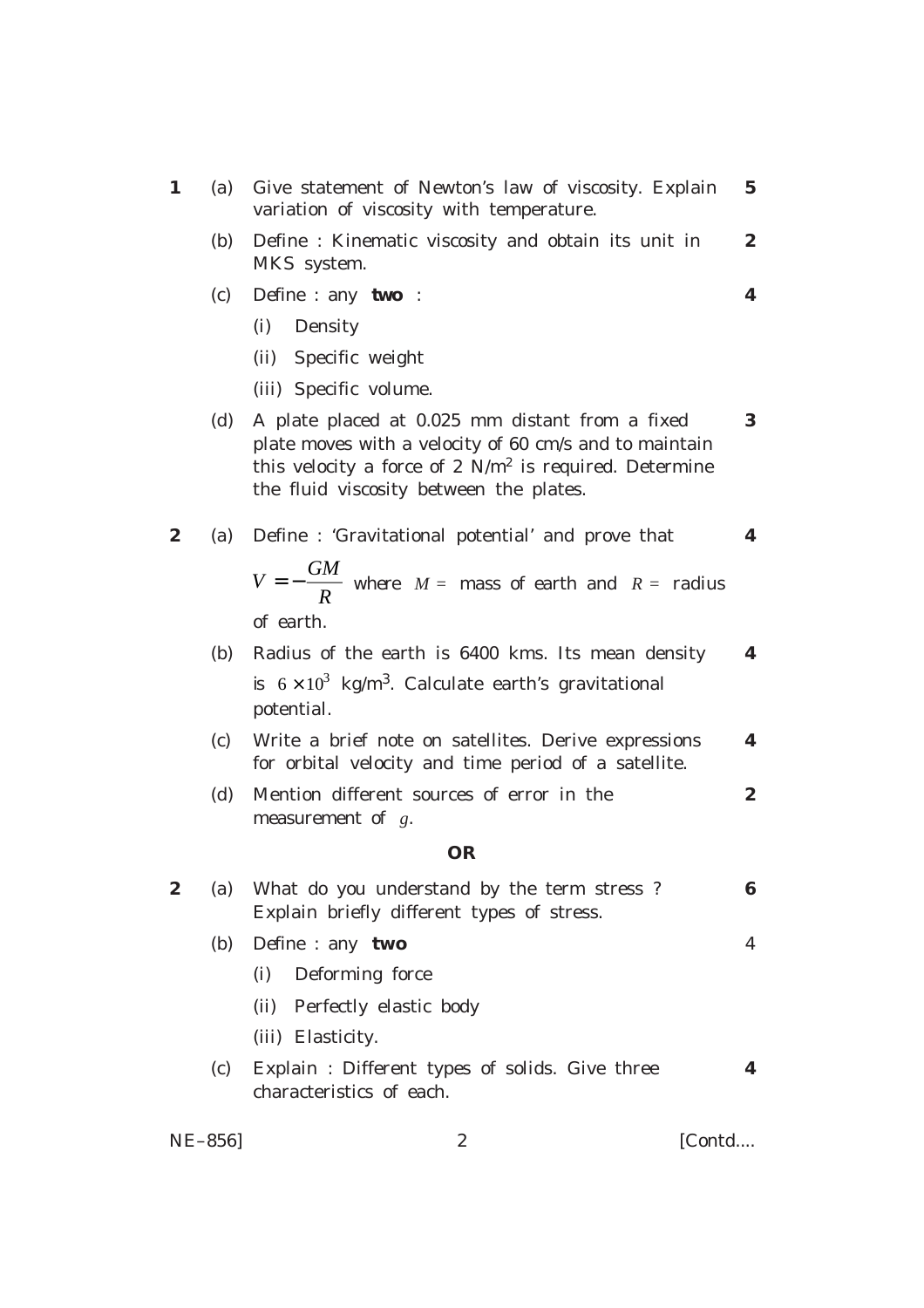| $\mathbf{1}$     | Give statement of Newton's law of viscosity. Explain<br>(a)<br>variation of viscosity with temperature.                                                                                                                  | $5\phantom{.0}$  |
|------------------|--------------------------------------------------------------------------------------------------------------------------------------------------------------------------------------------------------------------------|------------------|
|                  | (b)<br>Define : Kinematic viscosity and obtain its unit in<br>MKS system.                                                                                                                                                | $\boldsymbol{2}$ |
|                  | Define : any two :<br>(c)                                                                                                                                                                                                | 4                |
|                  | (i)<br>Density                                                                                                                                                                                                           |                  |
|                  | (ii) Specific weight                                                                                                                                                                                                     |                  |
|                  | (iii) Specific volume.                                                                                                                                                                                                   |                  |
|                  | (d)<br>A plate placed at 0.025 mm distant from a fixed<br>plate moves with a velocity of 60 cm/s and to maintain<br>this velocity a force of 2 $N/m^2$ is required. Determine<br>the fluid viscosity between the plates. | $\bf{3}$         |
| $\boldsymbol{2}$ | Define: 'Gravitational potential' and prove that<br>(a)                                                                                                                                                                  | 4                |
|                  | $V = -\frac{GM}{R}$ where $M =$ mass of earth and $R =$ radius                                                                                                                                                           |                  |
|                  | of earth.                                                                                                                                                                                                                |                  |
|                  | Radius of the earth is 6400 kms. Its mean density<br>(b)                                                                                                                                                                 | 4                |
|                  | is $6 \times 10^3$ kg/m <sup>3</sup> . Calculate earth's gravitational<br>potential.                                                                                                                                     |                  |
|                  | (c)<br>Write a brief note on satellites. Derive expressions<br>for orbital velocity and time period of a satellite.                                                                                                      | 4                |
|                  | Mention different sources of error in the<br>(d)<br>measurement of $g$ .                                                                                                                                                 | $\boldsymbol{2}$ |
|                  | OR                                                                                                                                                                                                                       |                  |
| $\boldsymbol{2}$ | What do you understand by the term stress?<br>(a)<br>Explain briefly different types of stress.                                                                                                                          | 6                |
|                  | Define : any two<br>(b)                                                                                                                                                                                                  | 4                |
|                  | Deforming force<br>(i)                                                                                                                                                                                                   |                  |
|                  | Perfectly elastic body<br>(ii)                                                                                                                                                                                           |                  |
|                  | (iii) Elasticity.                                                                                                                                                                                                        |                  |
|                  | Explain: Different types of solids. Give three<br>(c)<br>characteristics of each.                                                                                                                                        | 4                |
| NE-856]          | $\boldsymbol{2}$<br>[Contd                                                                                                                                                                                               |                  |
|                  |                                                                                                                                                                                                                          |                  |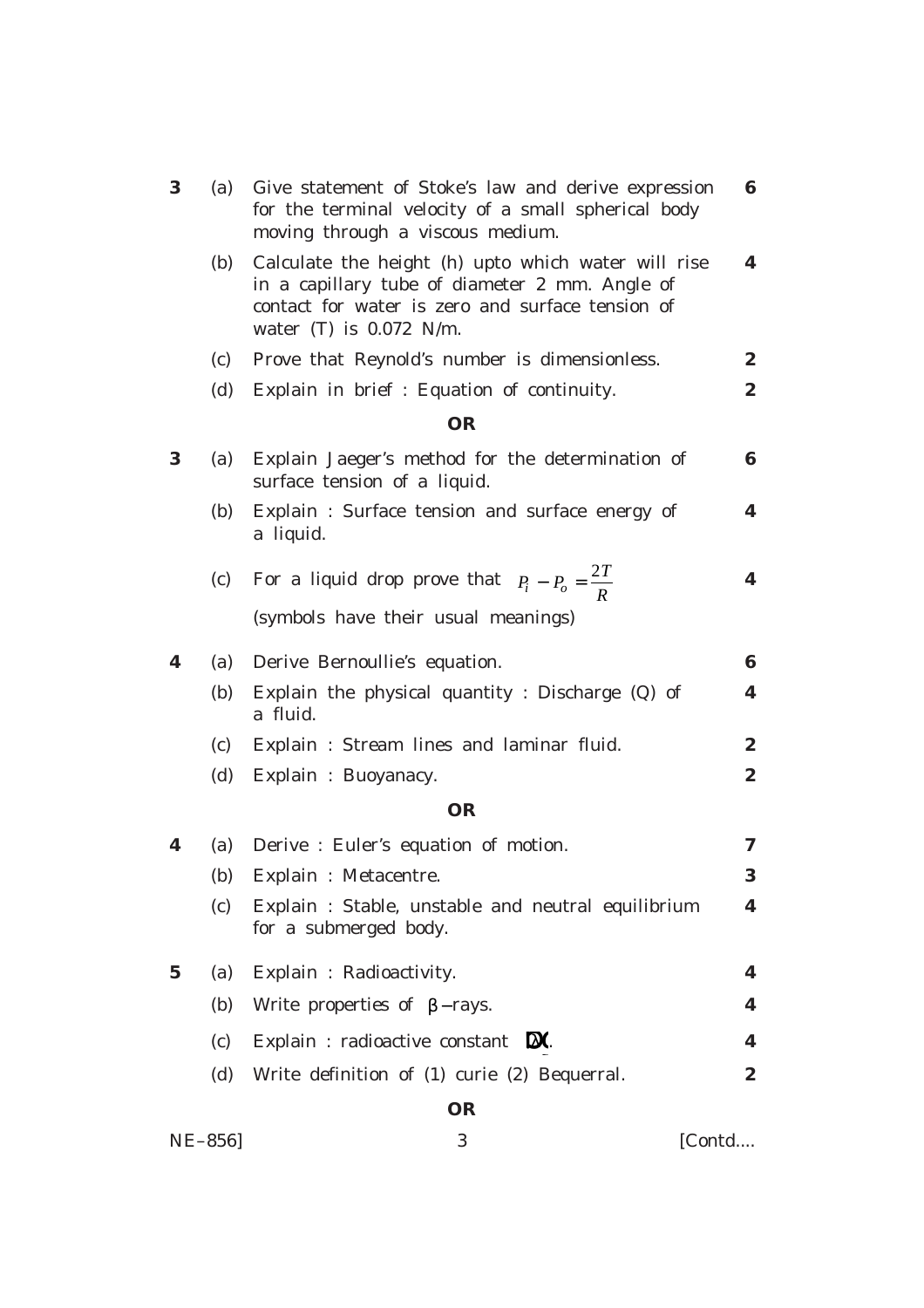| 3           | (a) | Give statement of Stoke's law and derive expression<br>for the terminal velocity of a small spherical body<br>moving through a viscous medium.                                         | 6                |
|-------------|-----|----------------------------------------------------------------------------------------------------------------------------------------------------------------------------------------|------------------|
|             | (b) | Calculate the height (h) upto which water will rise<br>in a capillary tube of diameter 2 mm. Angle of<br>contact for water is zero and surface tension of<br>water $(T)$ is 0.072 N/m. | 4                |
|             | (c) | Prove that Reynold's number is dimensionless.                                                                                                                                          | $\boldsymbol{2}$ |
|             | (d) | Explain in brief : Equation of continuity.                                                                                                                                             | 2                |
|             |     | <b>OR</b>                                                                                                                                                                              |                  |
| 3           | (a) | Explain Jaeger's method for the determination of<br>surface tension of a liquid.                                                                                                       | 6                |
|             | (b) | Explain: Surface tension and surface energy of<br>a liquid.                                                                                                                            | 4                |
|             | (c) | For a liquid drop prove that $P_i - P_o = \frac{2I}{R}$                                                                                                                                | 4                |
|             |     | (symbols have their usual meanings)                                                                                                                                                    |                  |
| 4           | (a) | Derive Bernoullie's equation.                                                                                                                                                          | $\bf{6}$         |
|             | (b) | Explain the physical quantity : Discharge (Q) of<br>a fluid.                                                                                                                           | 4                |
|             | (c) | Explain: Stream lines and laminar fluid.                                                                                                                                               | $\boldsymbol{2}$ |
|             | (d) | Explain : Buoyanacy.                                                                                                                                                                   | $\boldsymbol{2}$ |
|             |     | <b>OR</b>                                                                                                                                                                              |                  |
| 4           | (a) | Derive : Euler's equation of motion.                                                                                                                                                   | 7                |
|             | (b) | Explain : Metacentre.                                                                                                                                                                  | 3.               |
|             | (c) | Explain : Stable, unstable and neutral equilibrium<br>for a submerged body.                                                                                                            | 4                |
| $\mathbf 5$ | (a) | Explain: Radioactivity.                                                                                                                                                                | 4                |
|             | (b) | Write properties of $\beta$ -rays.                                                                                                                                                     | 4                |
|             | (c) | Explain : radioactive constant $\mathbb{X}$ .                                                                                                                                          | $\boldsymbol{4}$ |
|             | (d) | Write definition of (1) curie (2) Bequerral.                                                                                                                                           | $\boldsymbol{2}$ |
|             |     | <b>OR</b>                                                                                                                                                                              |                  |
| NE-856]     |     | 3<br>[Contd                                                                                                                                                                            |                  |